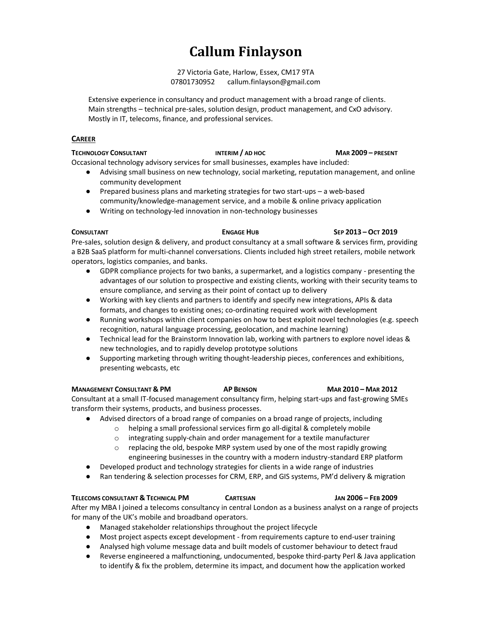# **Callum Finlayson**

27 Victoria Gate, Harlow, Essex, CM17 9TA 07801730952 callum.finlayson@gmail.com

Extensive experience in consultancy and product management with a broad range of clients. Main strengths – technical pre-sales, solution design, product management, and CxO advisory. Mostly in IT, telecoms, finance, and professional services.

# **CAREER**

## **TECHNOLOGY CONSULTANT INTERIM / AD HOC MAR 2009 – PRESENT**

Occasional technology advisory services for small businesses, examples have included:

- Advising small business on new technology, social marketing, reputation management, and online community development
- Prepared business plans and marketing strategies for two start-ups a web-based community/knowledge-management service, and a mobile & online privacy application
- Writing on technology-led innovation in non-technology businesses

## **CONSULTANT ENGAGE HUB SEP 2013 – OCT 2019**

Pre-sales, solution design & delivery, and product consultancy at a small software & services firm, providing a B2B SaaS platform for multi-channel conversations. Clients included high street retailers, mobile network operators, logistics companies, and banks.

- GDPR compliance projects for two banks, a supermarket, and a logistics company presenting the advantages of our solution to prospective and existing clients, working with their security teams to ensure compliance, and serving as their point of contact up to delivery
- Working with key clients and partners to identify and specify new integrations, APIs & data formats, and changes to existing ones; co-ordinating required work with development
- Running workshops within client companies on how to best exploit novel technologies (e.g. speech recognition, natural language processing, geolocation, and machine learning)
- Technical lead for the Brainstorm Innovation lab, working with partners to explore novel ideas & new technologies, and to rapidly develop prototype solutions
- Supporting marketing through writing thought-leadership pieces, conferences and exhibitions, presenting webcasts, etc

# **MANAGEMENT CONSULTANT & PM AP BENSON MAR 2010 – MAR 2012**

Consultant at a small IT-focused management consultancy firm, helping start-ups and fast-growing SMEs transform their systems, products, and business processes.

- Advised directors of a broad range of companies on a broad range of projects, including
	- o helping a small professional services firm go all-digital & completely mobile
		- o integrating supply-chain and order management for a textile manufacturer
		- $\circ$  replacing the old, bespoke MRP system used by one of the most rapidly growing engineering businesses in the country with a modern industry-standard ERP platform
- Developed product and technology strategies for clients in a wide range of industries
- Ran tendering & selection processes for CRM, ERP, and GIS systems, PM'd delivery & migration

# **TELECOMS CONSULTANT & TECHNICAL PM CARTESIAN JAN 2006 – FEB 2009**

After my MBA I joined a telecoms consultancy in central London as a business analyst on a range of projects for many of the UK's mobile and broadband operators.

- Managed stakeholder relationships throughout the project lifecycle
- Most project aspects except development from requirements capture to end-user training
- Analysed high volume message data and built models of customer behaviour to detect fraud
- Reverse engineered a malfunctioning, undocumented, bespoke third-party Perl & Java application to identify & fix the problem, determine its impact, and document how the application worked